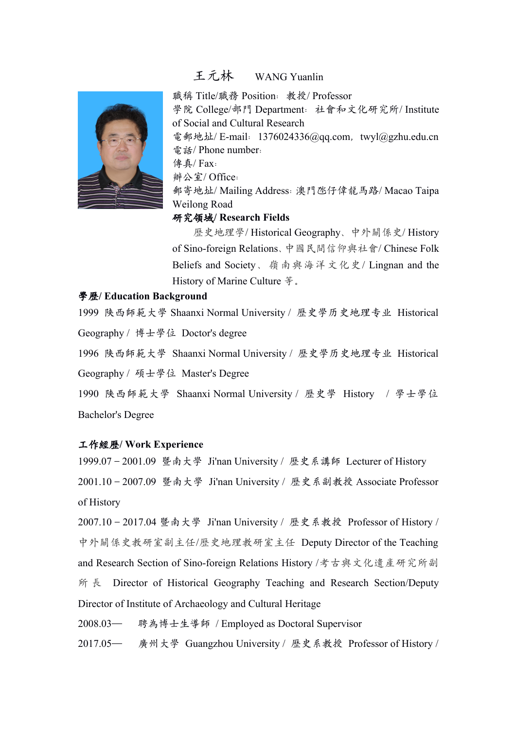

# 王元林 WANG Yuanlin

職稱 Title/職務 Position:教授/ Professor 學院 College/部門 Department:社會和文化研究所/ Institute of Social and Cultural Research 電郵地址/ E-mail: 1376024336@qq.com, twyl@gzhu.edu.cn 電話/ Phone number: 傳真/ Fax: 辦公室/ Office: 郵寄地址/ Mailing Address:澳門氹仔偉龍馬路/ Macao Taipa

# Weilong Road

## 研究領域**/ Research Fields**

歷史地理學/ Historical Geography、中外關係史/ History of Sino-foreign Relations、中國民間信仰與社會/ Chinese Folk Beliefs and Society、嶺南與海洋文化史/ Lingnan and the History of Marine Culture 等。

### 學歷**/ Education Background**

1999 陕西師範大學 Shaanxi Normal University / 歷史學历史地理专业 Historical Geography / 博士學位 Doctor's degree

1996 陕西師範大學 Shaanxi Normal University / 歷史學历史地理专业 Historical Geography / 碩士學位 Master's Degree

1990 陕西師範大學 Shaanxi Normal University / 歷史學 History / 學士學位 Bachelor's Degree

### 工作經歷**/ Work Experience**

1999.07–2001.09 暨南大學 Ji'nan University / 歷史系講師 Lecturer of History 2001.10–2007.09 暨南大學 Ji'nan University / 歷史系副教授 Associate Professor of History

2007.10–2017.04 暨南大學 Ji'nan University / 歷史系教授 Professor of History / 中外關係史教研室副主任/歷史地理教研室主任 Deputy Director of the Teaching and Research Section of Sino-foreign Relations History /考古與文化遺產研究所副 所 長 Director of Historical Geography Teaching and Research Section/Deputy Director of Institute of Archaeology and Cultural Heritage

2008.03— 聘為博士生導師 / Employed as Doctoral Supervisor

2017.05— 廣州大學 Guangzhou University / 歷史系教授 Professor of History /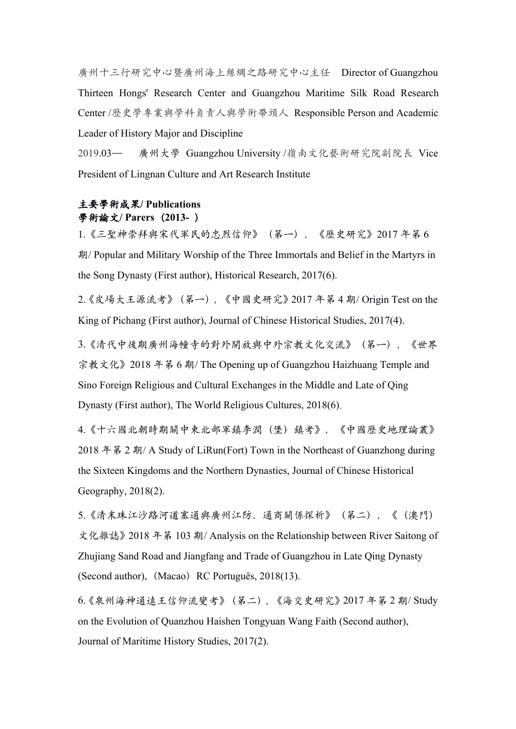廣州十三行研究中心暨廣州海上絲綢之路研究中心主任 Director of Guangzhou Thirteen Hongs' Research Centerand Guangzhou Maritime Silk Road Research Center /歷史學專業與學科負責人與學術帶頭人 Responsible Person and Academic Leader of History Major and Discipline

2019.03— 廣州大學 Guangzhou University /嶺南文化藝術研究院副院長 Vice President of Lingnan Culture and Art Research Institute

# 主要學術成果**/ Publications** 學術論文**/ Parers**(**2013-** )

1.《三聖神崇拜與宋代軍民的忠烈信仰》(第一),《歷史研究》2017 年第 6 期/ Popular and Military Worship of the Three Immortals and Belief in the Martyrs in the Song Dynasty (First author), Historical Research, 2017(6).

2.《皮場大王源流考》(第一),《中國史研究》2017 年第 4 期/ Origin Test on the King of Pichang (First author), Journal of Chinese Historical Studies, 2017(4).

3.《清代中後期廣州海幢寺的對外開放與中外宗教文化交流》(第一),《世界 宗教文化》2018 年第 6 期/ The Opening up of Guangzhou Haizhuang Temple and Sino Foreign Religious and Cultural Exchanges in the Middle and Late of Qing Dynasty (First author), The World Religious Cultures, 2018(6).

4.《十六國北朝時期關中東北部軍鎮李潤(堡)鎮考》,《中國歷史地理論叢》 2018 年第 2 期/ A Study of LiRun(Fort) Town in the Northeast of Guanzhong during the Sixteen Kingdoms and the Northern Dynasties, Journal of Chinese Historical Geography, 2018(2).

5.《清末珠江沙路河道塞通與廣州江防、通商關係探析》(第二),《(澳門) 文化雜誌》2018 年第 103 期/ Analysis on the Relationship between River Saitong of Zhujiang Sand Road and Jiangfang and Trade of Guangzhou in Late Qing Dynasty (Second author), (Macao) RC [Português,](http://www.icm.gov.mo/rc/3) 2018(13).

6.《泉州海神通遠王信仰流變考》(第二),《海交史研究》2017 年第 2 期/ Study on the Evolution of Quanzhou Haishen Tongyuan Wang Faith (Second author), Journal of Maritime History Studies, 2017(2).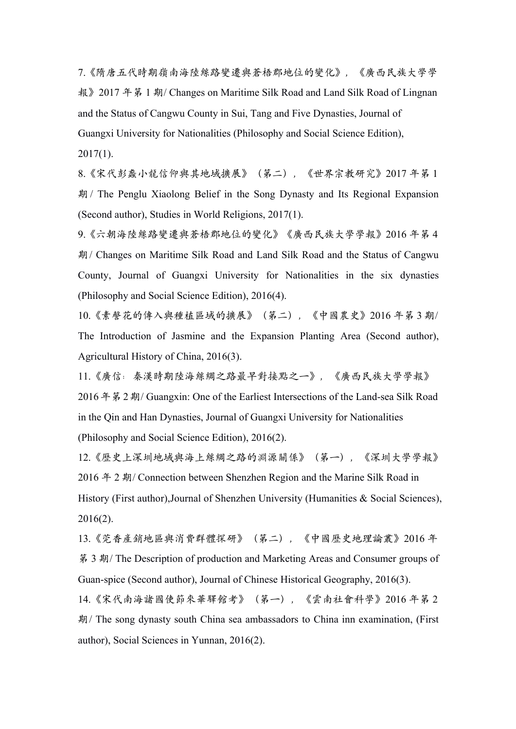7.《隋唐五代時期嶺南海陸絲路變遷與蒼梧郡地位的變化》,《廣西民族大學學 報》2017 年第 1 期/ Changes on Maritime Silk Road and Land Silk Road of Lingnan and the Status of Cangwu County in Sui, Tang and Five Dynasties, Journal of Guangxi University for Nationalities (Philosophy and Social Science Edition),  $2017(1)$ .

8.《宋代彭蠡小龍信仰與其地域擴展》(第二),《世界宗教研究》2017 年第 1 期 / The Penglu Xiaolong Beliefin the Song Dynasty and Its Regional Expansion (Second author), Studies in World Religions, 2017(1).

9.《六朝海陸絲路變遷與蒼梧郡地位的變化》《廣西民族大學學報》2016 年第 4 期/ Changes on Maritime Silk Road and Land Silk Road and the Status of Cangwu County, Journal of Guangxi University for Nationalities in the six dynasties (Philosophy and Social Science Edition), 2016(4).

10.《素謦花的傳入與種植區域的擴展》(第二),《中國農史》2016 年第 3 期/ The Introduction of Jasmine and the Expansion Planting Area (Second author), Agricultural History of China, 2016(3).

11.《廣信:秦漢時期陸海絲綢之路最早對接點之一》,《廣西民族大學學報》 2016 年第 2 期/ Guangxin: One of the Earliest Intersections of the Land-sea Silk Road in the Qin and Han Dynasties, Journal of Guangxi University for Nationalities (Philosophy and Social Science Edition), 2016(2).

12.《歷史上深圳地域與海上絲綢之路的淵源關係》(第一),《深圳大學學報》 2016 年 2 期/ Connection between Shenzhen Region and the Marine Silk Road in History (First author),Journal of Shenzhen University (Humanities & Social Sciences), 2016(2).

13.《莞香產銷地區與消費群體探研》(第二),《中國歷史地理論叢》2016 年 第 3 期/ The Description of production and Marketing Areas and Consumer groups of Guan-spice (Second author), Journal of Chinese Historical Geography, 2016(3).

14.《宋代南海諸國使節來華驛館考》(第一),《雲南社會科學》2016 年第 2 期/ The song dynasty south China sea ambassadors to China inn examination, (First author), Social Sciences in Yunnan, 2016(2).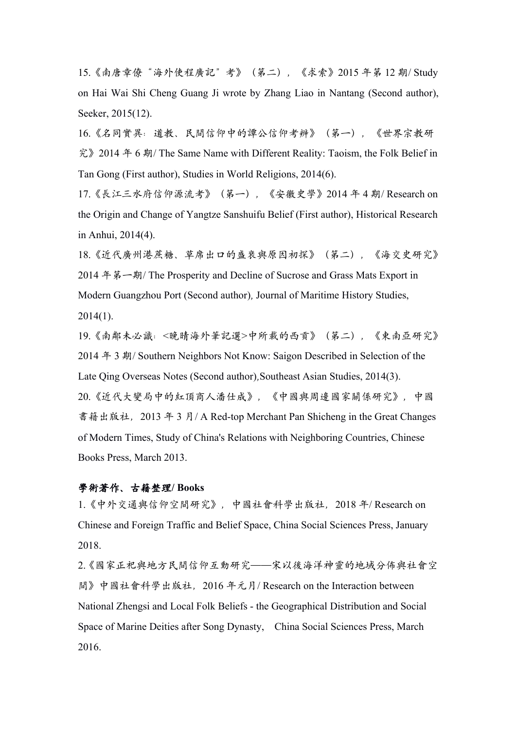15.《南唐章僚"海外使程廣記"考》(第二),《求索》2015 年第 12 期/ Study on Hai Wai Shi Cheng Guang Ji wrote by Zhang Liao in Nantang (Second author), Seeker, 2015(12).

16.《名同實異:道教、民間信仰中的譚公信仰考辨》(第一),《世界宗教研 究》2014 年 6 期/ The Same Name with Different Reality: Taoism, the Folk Belief in Tan Gong (First author), Studies in World Religions, 2014(6).

17.《長江三水府信仰源流考》(第一),《安徽史學》2014 年 4 期/ Research on the Origin and Change of Yangtze Sanshuifu Belief (First author), Historical Research in Anhui, 2014(4).

18.《近代廣州港蔗糖、草席出口的盛衰與原因初探》(第二),《海交史研究》 2014 年第一期/ The Prosperity and Decline of Sucrose and Grass Mats Export in Modern Guangzhou Port (Second author), Journal of Maritime History Studies,  $2014(1)$ .

19.《南鄰未必識:<晚晴海外筆記選>中所載的西貢》(第二),《東南亞研究》 2014 年 3 期/ Southern Neighbors Not Know: Saigon Described in Selection of the Late Qing Overseas Notes (Second author),Southeast Asian Studies, 2014(3). 20.《近代大變局中的紅頂商人潘仕成》,《中國與周邊國家關係研究》,中國 書籍出版社, 2013 年 3 月/ A Red-top Merchant Pan Shicheng in the Great Changes of Modern Times, Study of China's Relations with Neighboring Countries, Chinese Books Press, March 2013.

### 學術著作、古籍整理**/ Books**

1.《中外交通與信仰空間研究》,中國社會科學出版社,2018 年/ Research on Chinese and Foreign Traffic and Belief Space, China Social Sciences Press,January 2018.

2.《國家正祀與地方民間信仰互動研究——宋以後海洋神靈的地域分佈與社會空 間》中國社會科學出版社,2016 年元月/ Research on the Interaction between National Zhengsi and Local Folk Beliefs - the Geographical Distribution and Social Space of Marine Deities after Song Dynasty, China Social Sciences Press, March 2016.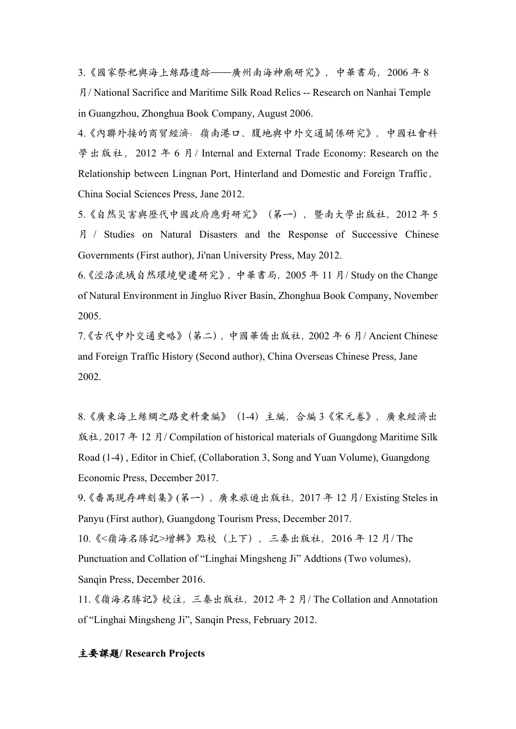3.《國家祭祀與海上絲路遺跡——廣州南海神廟研究》,中華書局,2006 年 8 月/ National Sacrifice and Maritime Silk Road Relics -- Research on Nanhai Temple in Guangzhou, Zhonghua Book Company, August 2006.

4.《內聯外接的商貿經濟:嶺南港口、腹地與中外交通關係研究》,中國社會科 學出版社, 2012 年 6 月 / Internal and External Trade Economy: Research on the Relationship between Lingnan Port, Hinterland and Domestic and Foreign Traffic, China Social Sciences Press, Jane 2012.

5.《自然災害與歷代中國政府應對研究》(第一),暨南大學出版社,2012 年 5 月 / Studies on Natural Disasters and the Response of Successive Chinese Governments (First author), Ji'nan University Press, May 2012.

6.《涇洛流域自然環境變遷研究》,中華書局,2005 年 11 月/ Study on the Change of Natural Environment in Jingluo River Basin, Zhonghua Book Company, November 2005.

7.《古代中外交通史略》(第二),中國華僑出版社,2002 年 6 月/ Ancient Chinese and Foreign Traffic History (Second author), China Overseas Chinese Press, Jane 2002.

8.《廣東海上絲綢之路史料彙編》(1-4)主編,合編 3《宋元卷》,廣東經濟出 版社, 2017 年 12 月/ Compilation of historical materials of Guangdong Maritime Silk Road (1-4) , Editor in Chief, (Collaboration 3, Song and Yuan Volume), Guangdong Economic Press, December 2017.

9.《番禺現存碑刻集》(第一),廣東旅遊出版社,2017 年 12 月/ Existing Steles in Panyu (First author), Guangdong Tourism Press, December 2017.

10.《<嶺海名勝記>增輯》點校(上下),三秦出版社,2016 年 12 月/ The Punctuation and Collation of "Linghai Mingsheng Ji" Addtions (Two volumes), Sanqin Press, December 2016.

11.《嶺海名勝記》校注,三秦出版社,2012 年 2 月/ The Collation and Annotation of "Linghai Mingsheng Ji", Sanqin Press, February 2012.

#### 主要課題**/ Research Projects**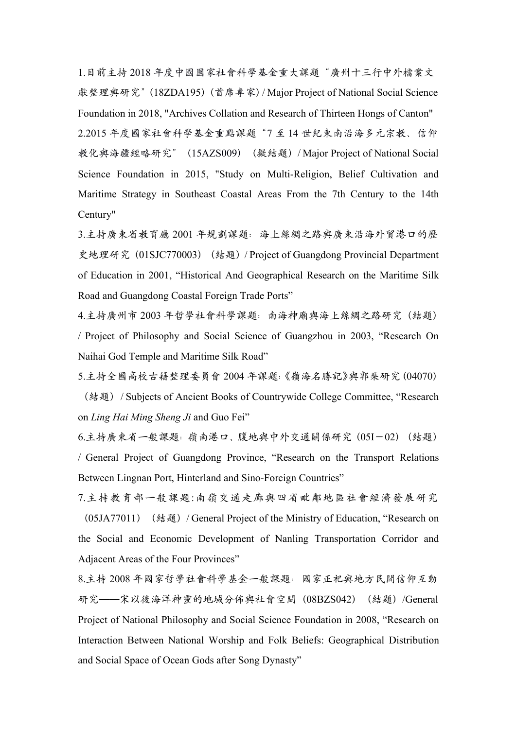1.目前主持 2018 年度中國國家社會科學基金重大課題"廣州十三行中外檔案文 獻整理與研究"(18ZDA195)(首席專家)/ Major Project of National Social Science Foundation in 2018, "Archives Collation and Research of Thirteen Hongs of Canton" 2.2015 年度國家社會科學基金重點課題"7 至 14 世紀東南沿海多元宗教、信仰 教化與海疆經略研究"(15AZS009)(擬結題)/ Major Project of National Social Science Foundation in 2015, "Study on Multi-Religion, Belief Cultivation and Maritime Strategy in Southeast Coastal Areas From the 7th Century to the 14th Century"

3.主持廣東省教育廳 2001 年規劃課題: 海上絲綢之路與廣東沿海外貿港口的歷 史地理研究 (01SJC770003) (結題) / Project of Guangdong Provincial Department of Education in 2001, "Historical And Geographical Research on the Maritime Silk Road and Guangdong Coastal Foreign Trade Ports"

4.主持廣州市 2003 年哲學社會科學課題:南海神廟與海上絲綢之路研究(結題) / Project of Philosophy and Social Science of Guangzhou in 2003, "Research On Naihai God Temple and Maritime Silk Road"

5.主持全國高校古籍整理委員會 2004 年課題:《嶺海名勝記》與郭棐研究(04070) (結題) / Subjects of Ancient Books of Countrywide College Committee, "Research on *Ling Hai Ming Sheng Ji* and Guo Fei"

6.主持廣東省一般課題:嶺南港口、腹地與中外交通關係研究(05I-02)(結題) / General Project of Guangdong Province, "Research on the Transport Relations Between Lingnan Port, Hinterland and Sino-Foreign Countries"

7.主持教育部一般課題:南嶺交通走廊與四省毗鄰地區社會經濟發展研究 (05JA77011) (結題) / General Project of the Ministry of Education, "Research on the Social and Economic Development of Nanling Transportation Corridor and Adjacent Areas of the Four Provinces"

8.主持 2008 年國家哲學社會科學基金一般課題:國家正祀與地方民間信仰互動 研究——宋以後海洋神靈的地域分佈與社會空間(08BZS042)(結題)/General Project of National Philosophy and Social Science Foundation in 2008, "Research on Interaction Between National Worship and Folk Beliefs: Geographical Distribution and Social Space of Ocean Gods after Song Dynasty"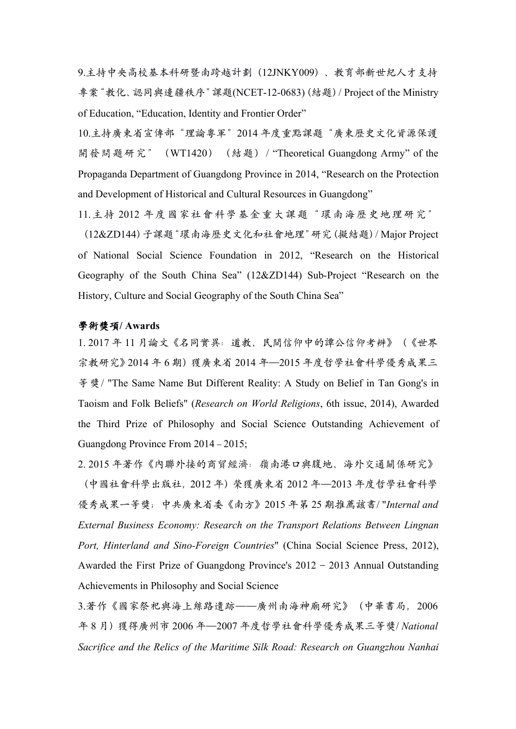9.主持中央高校基本科研暨南跨越計劃(12JNKY009)、教育部新世紀人才支持 專案"教化、認同與邊疆秩序"課題(NCET-12-0683) (結題) / Project of the Ministry of Education, "Education, Identity and Frontier Order"

10.主持廣東省宣傳部"理論粵軍"2014 年度重點課題"廣東歷史文化資源保護 開發問題研究" (WT1420) (結題) / "Theoretical Guangdong Army" of the Propaganda Department of Guangdong Province in 2014, "Research on the Protection and Development of Historical and Cultural Resources in Guangdong"

11.主持 2012 年度國家社會科學基金重大課題"環南海歷史地理研究"

(12&ZD144)子課題"環南海歷史文化和社會地理"研究(擬結題)/ Major Project of National Social Science Foundation in 2012, "Research on the Historical Geography of the South China Sea" (12&ZD144) Sub-Project "Research on the History, Culture and Social Geography of the South China Sea"

#### 學術獎項**/ Awards**

1. 2017 年 11 月論文《名同實異:道教、民間信仰中的譚公信仰考辨》(《世界 宗教研究》2014年6期)獲廣東省 2014年—2015年度哲學社會科學優秀成果三 等獎/ "The Same Name But Different Reality: A Study on Belief in Tan Gong's in Taoism and Folk Beliefs" (*Research on World Religions*, 6th issue, 2014), Awarded the Third Prize of Philosophy and Social Science Outstanding Achievement of Guangdong Province From 2014–2015;

2. 2015 年著作《內聯外接的商貿經濟:嶺南港口與腹地、海外交通關係研究》 (中國社會科學出版社,2012 年)榮獲廣東省 2012 年—2013 年度哲學社會科學 優秀成果一等獎;中共廣東省委《南方》2015 年第 25 期推薦該書/ "*Internal and External Business Economy: Research on the Transport Relations Between Lingnan Port, Hinterland and Sino-Foreign Countries*" (China Social Science Press, 2012), Awarded the First Prize of Guangdong Province's 2012–2013 Annual Outstanding Achievements in Philosophy and Social Science

3.著作《國家祭祀與海上絲路遺跡——廣州南海神廟研究》(中華書局,2006 年 8 月)獲得廣州市 2006 年—2007 年度哲學社會科學優秀成果三等獎/ *National Sacrifice and the Relics of the Maritime Silk Road: Research on Guangzhou Nanhai*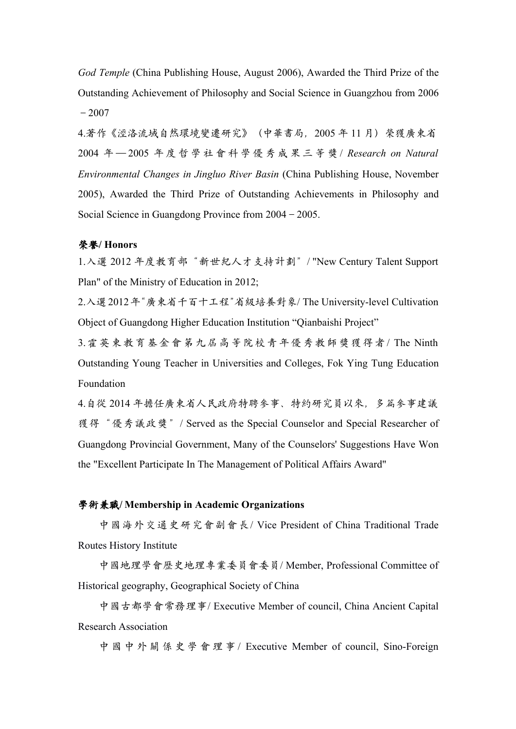*God Temple* (China Publishing House, August 2006), Awarded the Third Prize of the Outstanding Achievement of Philosophy and Social Science in Guangzhou from 2006  $-2007$ 

4.著作《涇洛流域自然環境變遷研究》(中華書局,2005 年 11 月)榮獲廣東省 2004 年 — 2005 年 度 哲 學 社 會 科 學 優 秀 成 果 三 等 獎 / *Research on Natural Environmental Changes in Jingluo River Basin* (China Publishing House, November 2005), Awarded the Third Prize of Outstanding Achievements in Philosophy and Social Science in Guangdong Province from 2004–2005.

#### 榮譽**/ Honors**

1.入選 2012 年度教育部"新世紀人才支持計劃"/ "New Century Talent Support Plan" of the Ministry of Education in 2012;

2.入選2012年"廣東省千百十工程"省級培養對象/ The University-level Cultivation Object of Guangdong Higher Education Institution "Qianbaishi Project"

3.霍英東教育基金會第九屆高等院校青年優秀教師獎獲得者/ The Ninth Outstanding Young Teacher in Universities and Colleges, Fok Ying Tung Education Foundation

4.自從 2014 年擔任廣東省人民政府特聘參事、特約研究員以來,多篇參事建議 獲得"優秀議政獎"/ Served as the Special Counselor and Special Researcher of Guangdong Provincial Government, Many of the Counselors'Suggestions Have Won the "Excellent Participate In The Management of Political Affairs Award"

### 學術兼職**/ Membership in Academic Organizations**

中國海外交通史研究會副會長/ Vice President of China Traditional Trade Routes History Institute

中國地理學會歷史地理專業委員會委員/ Member, Professional Committee of Historical geography, Geographical Society of China

中國古都學會常務理事/ Executive Member of council, China Ancient Capital Research Association

中 國 中 外 關 係 史 學 會 理 事 / Executive Member of council, Sino-Foreign